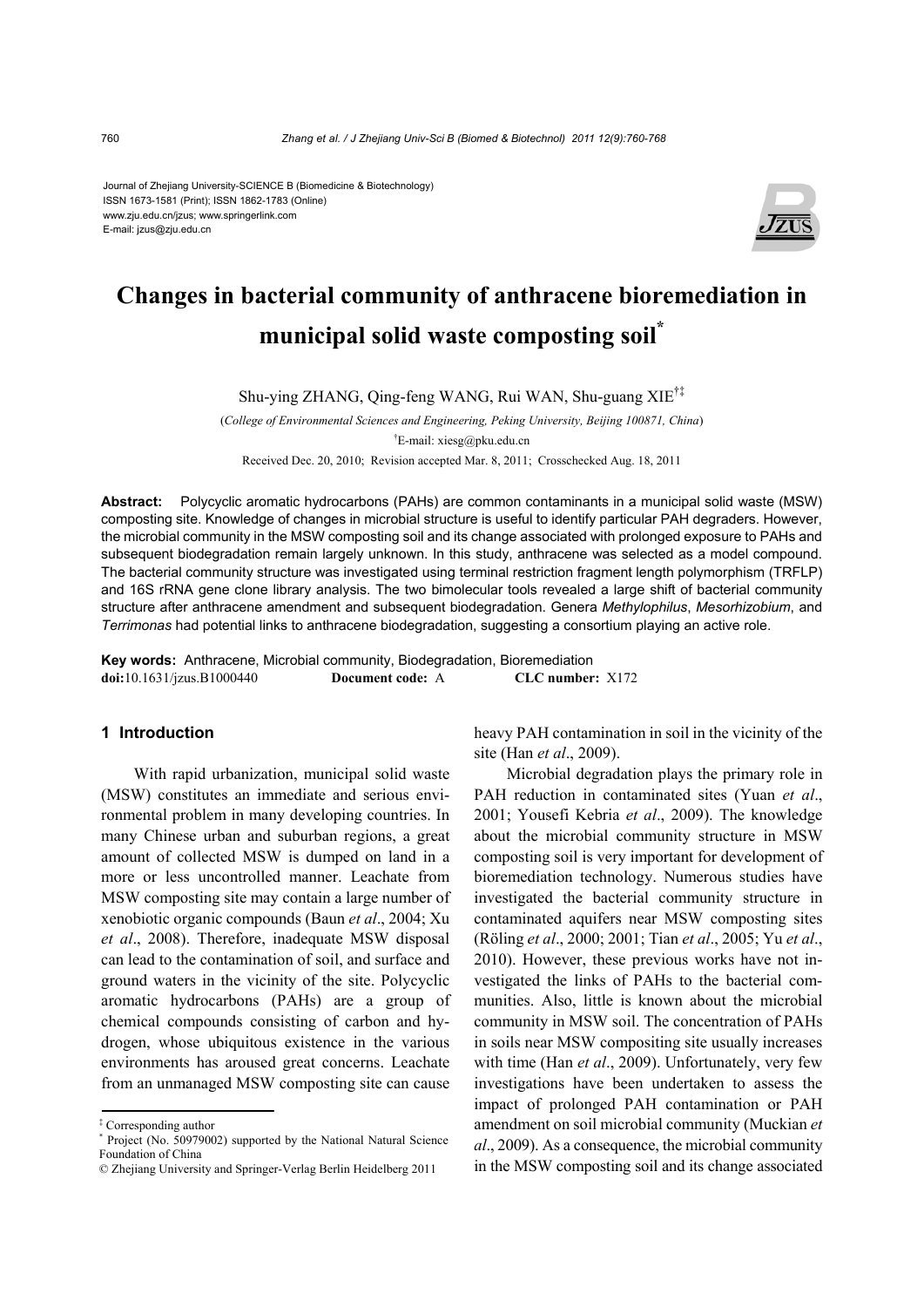#### Journal of Zhejiang University-SCIENCE B (Biomedicine & Biotechnology) ISSN 1673-1581 (Print); ISSN 1862-1783 (Online) www.zju.edu.cn/jzus; www.springerlink.com E-mail: jzus@zju.edu.cn



# **Changes in bacterial community of anthracene bioremediation in municipal solid waste composting soil\***

Shu-ying ZHANG, Qing-feng WANG, Rui WAN, Shu-guang XIE†‡

(*College of Environmental Sciences and Engineering, Peking University, Beijing 100871, China*) † E-mail: xiesg@pku.edu.cn

Received Dec. 20, 2010; Revision accepted Mar. 8, 2011; Crosschecked Aug. 18, 2011

**Abstract:** Polycyclic aromatic hydrocarbons (PAHs) are common contaminants in a municipal solid waste (MSW) composting site. Knowledge of changes in microbial structure is useful to identify particular PAH degraders. However, the microbial community in the MSW composting soil and its change associated with prolonged exposure to PAHs and subsequent biodegradation remain largely unknown. In this study, anthracene was selected as a model compound. The bacterial community structure was investigated using terminal restriction fragment length polymorphism (TRFLP) and 16S rRNA gene clone library analysis. The two bimolecular tools revealed a large shift of bacterial community structure after anthracene amendment and subsequent biodegradation. Genera *Methylophilus*, *Mesorhizobium*, and *Terrimonas* had potential links to anthracene biodegradation, suggesting a consortium playing an active role.

**Key words:** Anthracene, Microbial community, Biodegradation, Bioremediation **doi:**10.1631/jzus.B1000440 **Document code:** A **CLC number:** X172

#### **1 Introduction**

With rapid urbanization, municipal solid waste (MSW) constitutes an immediate and serious environmental problem in many developing countries. In many Chinese urban and suburban regions, a great amount of collected MSW is dumped on land in a more or less uncontrolled manner. Leachate from MSW composting site may contain a large number of xenobiotic organic compounds (Baun *et al*., 2004; Xu *et al*., 2008). Therefore, inadequate MSW disposal can lead to the contamination of soil, and surface and ground waters in the vicinity of the site. Polycyclic aromatic hydrocarbons (PAHs) are a group of chemical compounds consisting of carbon and hydrogen, whose ubiquitous existence in the various environments has aroused great concerns. Leachate from an unmanaged MSW composting site can cause heavy PAH contamination in soil in the vicinity of the site (Han *et al*., 2009).

Microbial degradation plays the primary role in PAH reduction in contaminated sites (Yuan *et al*., 2001; Yousefi Kebria *et al*., 2009). The knowledge about the microbial community structure in MSW composting soil is very important for development of bioremediation technology. Numerous studies have investigated the bacterial community structure in contaminated aquifers near MSW composting sites (Röling *et al*., 2000; 2001; Tian *et al*., 2005; Yu *et al*., 2010). However, these previous works have not investigated the links of PAHs to the bacterial communities. Also, little is known about the microbial community in MSW soil. The concentration of PAHs in soils near MSW compositing site usually increases with time (Han *et al*., 2009). Unfortunately, very few investigations have been undertaken to assess the impact of prolonged PAH contamination or PAH amendment on soil microbial community (Muckian *et al*., 2009). As a consequence, the microbial community in the MSW composting soil and its change associated

<sup>‡</sup> Corresponding author

<sup>\*</sup> Project (No. 50979002) supported by the National Natural Science Foundation of China

<sup>©</sup> Zhejiang University and Springer-Verlag Berlin Heidelberg 2011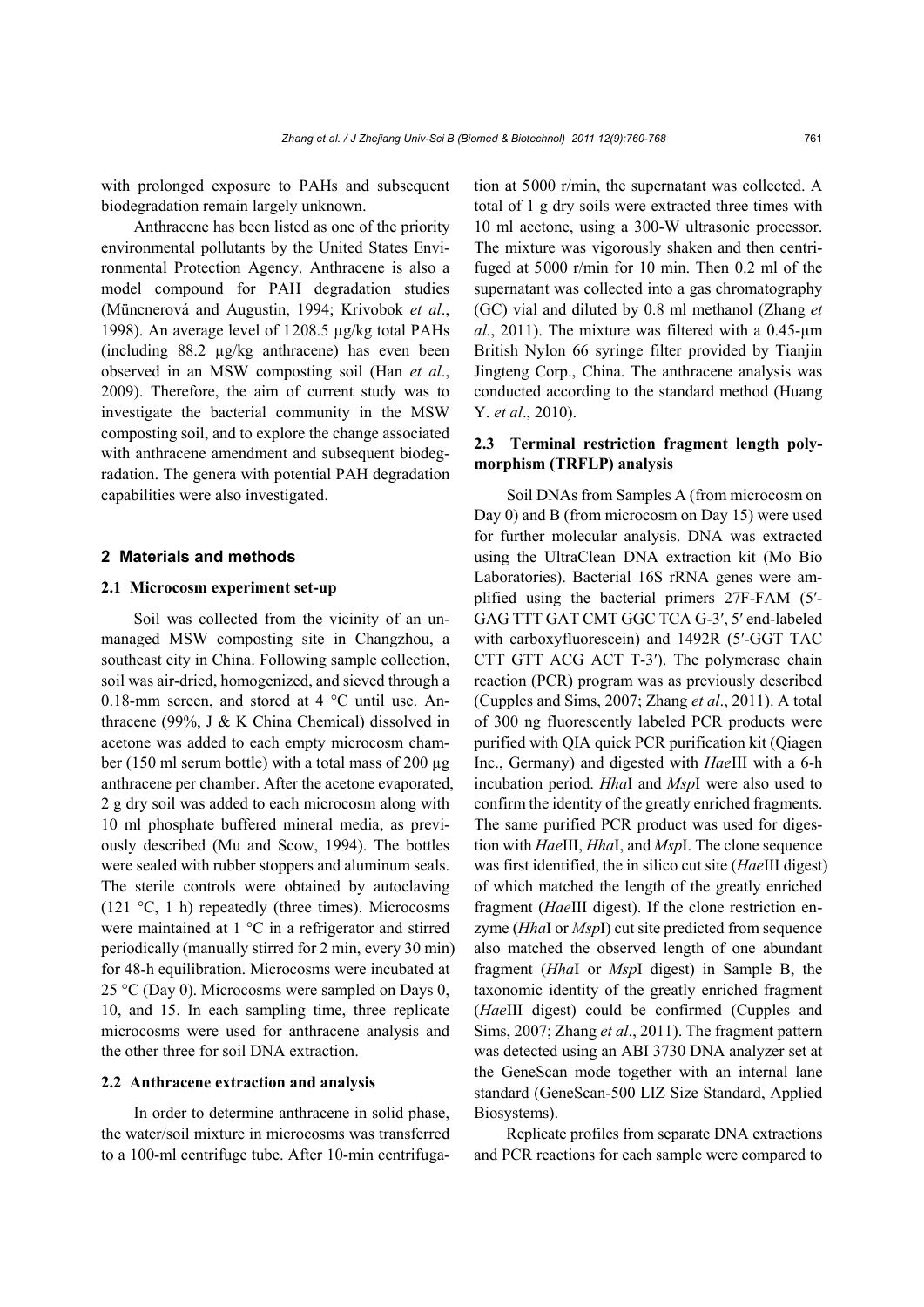with prolonged exposure to PAHs and subsequent biodegradation remain largely unknown.

Anthracene has been listed as one of the priority environmental pollutants by the United States Environmental Protection Agency. Anthracene is also a model compound for PAH degradation studies (Müncnerová and Augustin, 1994; Krivobok *et al*., 1998). An average level of 1208.5 µg/kg total PAHs (including 88.2 µg/kg anthracene) has even been observed in an MSW composting soil (Han *et al*., 2009). Therefore, the aim of current study was to investigate the bacterial community in the MSW composting soil, and to explore the change associated with anthracene amendment and subsequent biodegradation. The genera with potential PAH degradation capabilities were also investigated.

### **2 Materials and methods**

## **2.1 Microcosm experiment set-up**

Soil was collected from the vicinity of an unmanaged MSW composting site in Changzhou, a southeast city in China. Following sample collection, soil was air-dried, homogenized, and sieved through a 0.18-mm screen, and stored at 4 °C until use. Anthracene (99%, J & K China Chemical) dissolved in acetone was added to each empty microcosm chamber (150 ml serum bottle) with a total mass of 200 µg anthracene per chamber. After the acetone evaporated, 2 g dry soil was added to each microcosm along with 10 ml phosphate buffered mineral media, as previously described (Mu and Scow, 1994). The bottles were sealed with rubber stoppers and aluminum seals. The sterile controls were obtained by autoclaving (121 °C, 1 h) repeatedly (three times). Microcosms were maintained at 1 °C in a refrigerator and stirred periodically (manually stirred for 2 min, every 30 min) for 48-h equilibration. Microcosms were incubated at 25 °C (Day 0). Microcosms were sampled on Days 0, 10, and 15. In each sampling time, three replicate microcosms were used for anthracene analysis and the other three for soil DNA extraction.

#### **2.2 Anthracene extraction and analysis**

In order to determine anthracene in solid phase, the water/soil mixture in microcosms was transferred to a 100-ml centrifuge tube. After 10-min centrifugation at 5000 r/min, the supernatant was collected. A total of 1 g dry soils were extracted three times with 10 ml acetone, using a 300-W ultrasonic processor. The mixture was vigorously shaken and then centrifuged at 5000 r/min for 10 min. Then 0.2 ml of the supernatant was collected into a gas chromatography (GC) vial and diluted by 0.8 ml methanol (Zhang *et al.*, 2011). The mixture was filtered with a 0.45-µm British Nylon 66 syringe filter provided by Tianjin Jingteng Corp., China. The anthracene analysis was conducted according to the standard method (Huang Y. *et al*., 2010).

## **2.3 Terminal restriction fragment length polymorphism (TRFLP) analysis**

Soil DNAs from Samples A (from microcosm on Day 0) and B (from microcosm on Day 15) were used for further molecular analysis. DNA was extracted using the UltraClean DNA extraction kit (Mo Bio Laboratories). Bacterial 16S rRNA genes were amplified using the bacterial primers 27F-FAM (5′- GAG TTT GAT CMT GGC TCA G-3′, 5′ end-labeled with carboxyfluorescein) and 1492R (5'-GGT TAC CTT GTT ACG ACT T-3′). The polymerase chain reaction (PCR) program was as previously described (Cupples and Sims, 2007; Zhang *et al*., 2011). A total of 300 ng fluorescently labeled PCR products were purified with QIA quick PCR purification kit (Qiagen Inc., Germany) and digested with *Hae*III with a 6-h incubation period. *Hha*I and *Msp*I were also used to confirm the identity of the greatly enriched fragments. The same purified PCR product was used for digestion with *Hae*III, *Hha*I, and *Msp*I. The clone sequence was first identified, the in silico cut site (*Hae*III digest) of which matched the length of the greatly enriched fragment (*Hae*III digest). If the clone restriction enzyme (*Hha*I or *Msp*I) cut site predicted from sequence also matched the observed length of one abundant fragment (*Hha*I or *Msp*I digest) in Sample B, the taxonomic identity of the greatly enriched fragment (*Hae*III digest) could be confirmed (Cupples and Sims, 2007; Zhang *et al*., 2011). The fragment pattern was detected using an ABI 3730 DNA analyzer set at the GeneScan mode together with an internal lane standard (GeneScan-500 LIZ Size Standard, Applied Biosystems).

Replicate profiles from separate DNA extractions and PCR reactions for each sample were compared to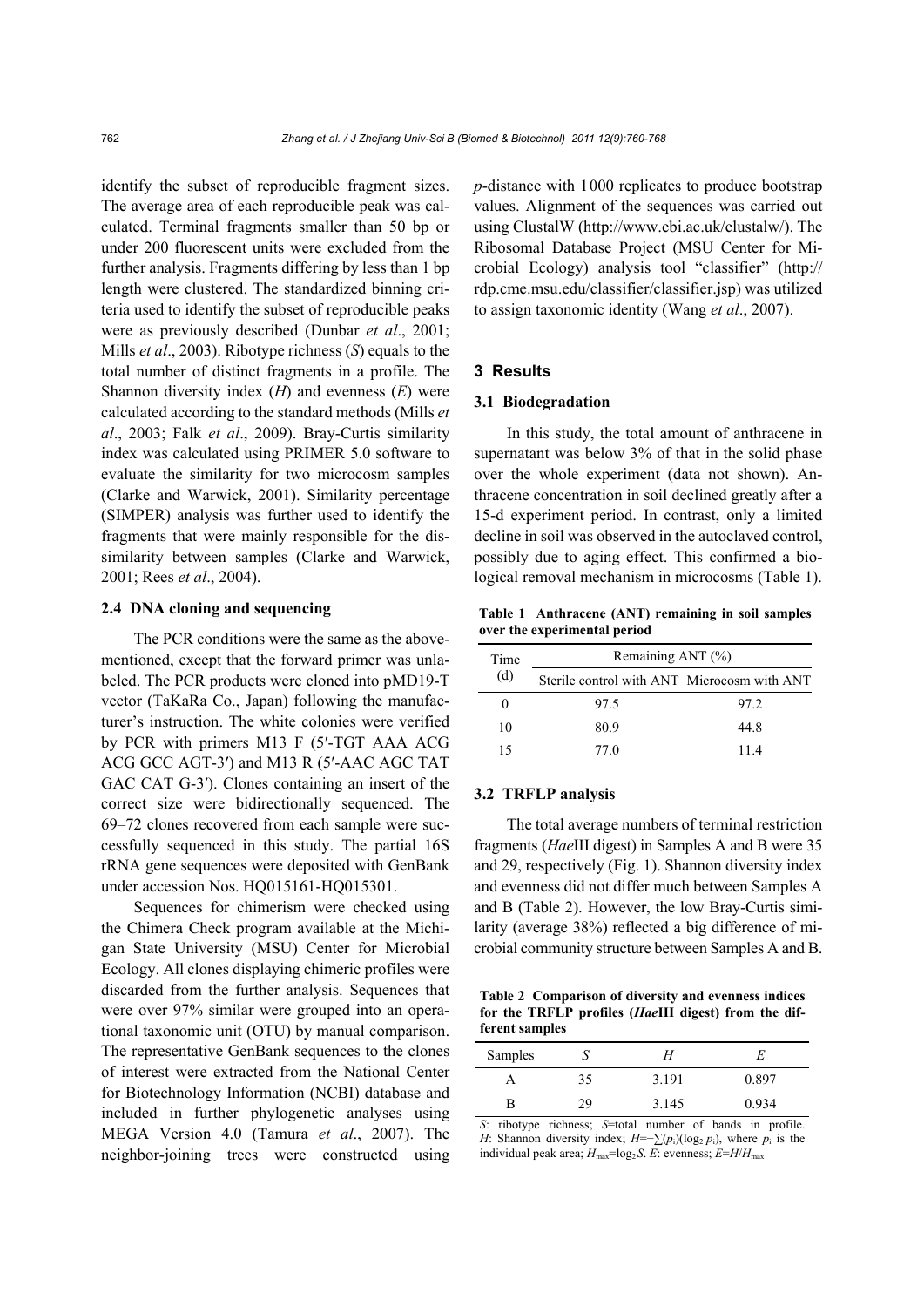identify the subset of reproducible fragment sizes. The average area of each reproducible peak was calculated. Terminal fragments smaller than 50 bp or under 200 fluorescent units were excluded from the further analysis. Fragments differing by less than 1 bp length were clustered. The standardized binning criteria used to identify the subset of reproducible peaks were as previously described (Dunbar *et al*., 2001; Mills *et al*., 2003). Ribotype richness (*S*) equals to the total number of distinct fragments in a profile. The Shannon diversity index (*H*) and evenness (*E*) were calculated according to the standard methods (Mills *et al*., 2003; Falk *et al*., 2009). Bray-Curtis similarity index was calculated using PRIMER 5.0 software to evaluate the similarity for two microcosm samples (Clarke and Warwick, 2001). Similarity percentage (SIMPER) analysis was further used to identify the fragments that were mainly responsible for the dissimilarity between samples (Clarke and Warwick, 2001; Rees *et al*., 2004).

#### **2.4 DNA cloning and sequencing**

The PCR conditions were the same as the abovementioned, except that the forward primer was unlabeled. The PCR products were cloned into pMD19-T vector (TaKaRa Co., Japan) following the manufacturer's instruction. The white colonies were verified by PCR with primers M13 F (5′-TGT AAA ACG ACG GCC AGT-3′) and M13 R (5′-AAC AGC TAT GAC CAT G-3′). Clones containing an insert of the correct size were bidirectionally sequenced. The 69–72 clones recovered from each sample were successfully sequenced in this study. The partial 16S rRNA gene sequences were deposited with GenBank under accession Nos. HQ015161-HQ015301.

Sequences for chimerism were checked using the Chimera Check program available at the Michigan State University (MSU) Center for Microbial Ecology. All clones displaying chimeric profiles were discarded from the further analysis. Sequences that were over 97% similar were grouped into an operational taxonomic unit (OTU) by manual comparison. The representative GenBank sequences to the clones of interest were extracted from the National Center for Biotechnology Information (NCBI) database and included in further phylogenetic analyses using MEGA Version 4.0 (Tamura *et al*., 2007). The neighbor-joining trees were constructed using *p*-distance with 1000 replicates to produce bootstrap values. Alignment of the sequences was carried out using ClustalW (http://www.ebi.ac.uk/clustalw/). The Ribosomal Database Project (MSU Center for Microbial Ecology) analysis tool "classifier" (http:// rdp.cme.msu.edu/classifier/classifier.jsp) was utilized to assign taxonomic identity (Wang *et al*., 2007).

## **3 Results**

#### **3.1 Biodegradation**

In this study, the total amount of anthracene in supernatant was below 3% of that in the solid phase over the whole experiment (data not shown). Anthracene concentration in soil declined greatly after a 15-d experiment period. In contrast, only a limited decline in soil was observed in the autoclaved control, possibly due to aging effect. This confirmed a biological removal mechanism in microcosms (Table 1).

**Table 1 Anthracene (ANT) remaining in soil samples over the experimental period**

| Time<br>(d) | Remaining ANT (%)                           |      |  |
|-------------|---------------------------------------------|------|--|
|             | Sterile control with ANT Microcosm with ANT |      |  |
|             | 97.5                                        | 97.2 |  |
| 10          | 80.9                                        | 44 8 |  |
| 15          | 77 Q                                        | 114  |  |

### **3.2 TRFLP analysis**

The total average numbers of terminal restriction fragments (*Hae*III digest) in Samples A and B were 35 and 29, respectively (Fig. 1). Shannon diversity index and evenness did not differ much between Samples A and B (Table 2). However, the low Bray-Curtis similarity (average 38%) reflected a big difference of microbial community structure between Samples A and B.

**Table 2 Comparison of diversity and evenness indices for the TRFLP profiles (***Hae***III digest) from the different samples** 

| Samples |    | Н     | E     |
|---------|----|-------|-------|
| А       | 35 | 3.191 | 0.897 |
| R       | 29 | 3.145 | 0.934 |

*S*: ribotype richness; *S*=total number of bands in profile. *H*: Shannon diversity index;  $H=-\sum (p_i)(\log_2 p_i)$ , where  $p_i$  is the individual peak area;  $H_{\text{max}} = \log_2 S$ . *E*: evenness;  $E = H/H_{\text{max}}$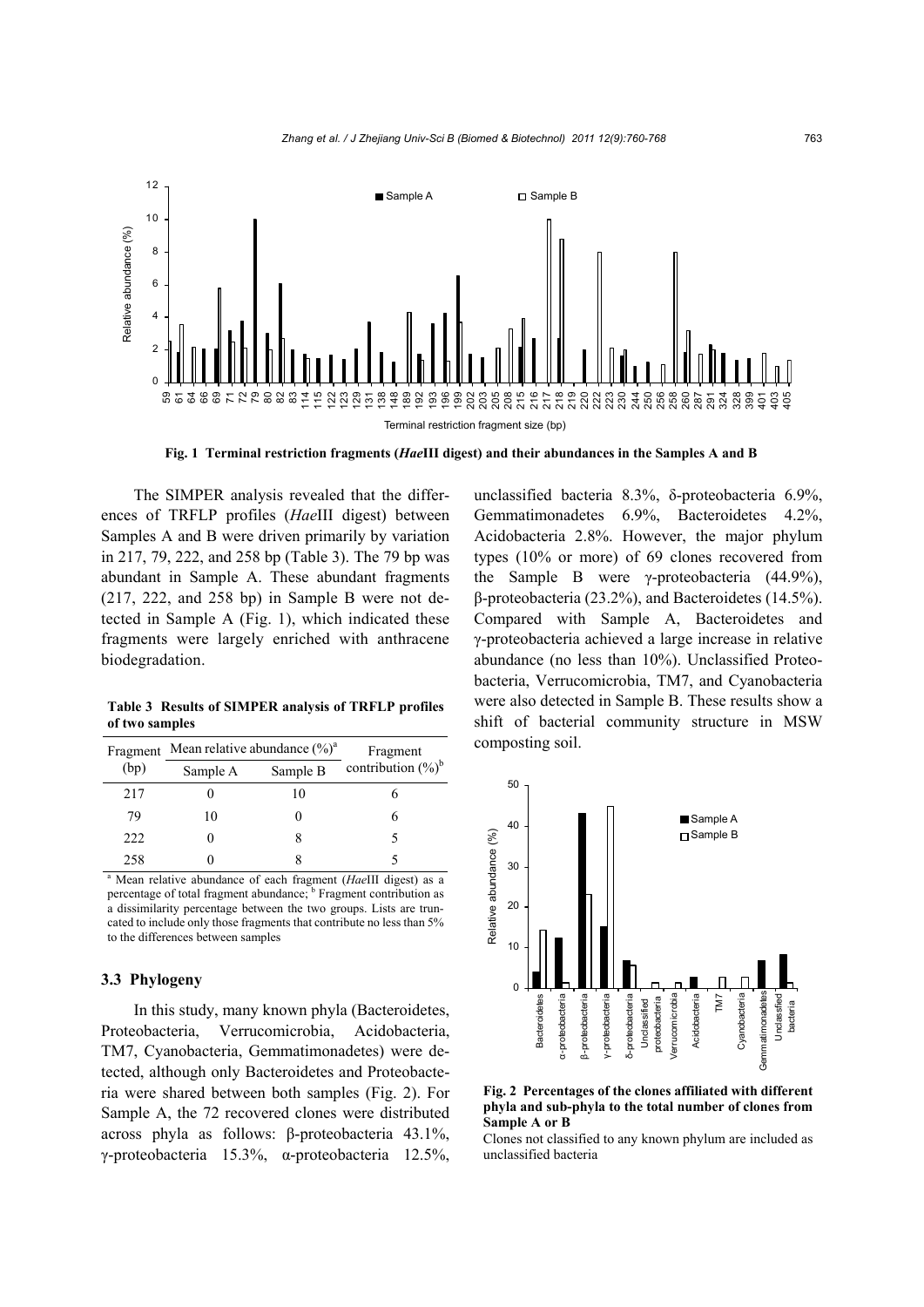

**Fig. 1 Terminal restriction fragments (***Hae***III digest) and their abundances in the Samples A and B** 

The SIMPER analysis revealed that the differences of TRFLP profiles (*Hae*III digest) between Samples A and B were driven primarily by variation in 217, 79, 222, and 258 bp (Table 3). The 79 bp was abundant in Sample A. These abundant fragments (217, 222, and 258 bp) in Sample B were not detected in Sample A (Fig. 1), which indicated these fragments were largely enriched with anthracene biodegradation.

**Table 3 Results of SIMPER analysis of TRFLP profiles of two samples** 

| Fragment | Mean relative abundance $(\%)^a$ |          | Fragment                                                                           |  |
|----------|----------------------------------|----------|------------------------------------------------------------------------------------|--|
| (bp)     | Sample A                         | Sample B | contribution $(\%)^b$                                                              |  |
| 217      |                                  | 10       |                                                                                    |  |
| 79       | 10                               |          | 6                                                                                  |  |
| 222      |                                  |          |                                                                                    |  |
| 258      |                                  | 8        |                                                                                    |  |
|          |                                  |          | <sup>a</sup> Mean relative abundance of each fragment ( <i>HaeIII</i> digest) as a |  |

percentage of total fragment abundance; <sup>b</sup> Fragment contribution as a dissimilarity percentage between the two groups. Lists are truncated to include only those fragments that contribute no less than 5% to the differences between samples

#### **3.3 Phylogeny**

In this study, many known phyla (Bacteroidetes, Proteobacteria, Verrucomicrobia, Acidobacteria, TM7, Cyanobacteria, Gemmatimonadetes) were detected, although only Bacteroidetes and Proteobacteria were shared between both samples (Fig. 2). For Sample A, the 72 recovered clones were distributed across phyla as follows: β-proteobacteria 43.1%, γ-proteobacteria 15.3%, α-proteobacteria 12.5%, unclassified bacteria 8.3%, δ-proteobacteria 6.9%, Gemmatimonadetes 6.9%, Bacteroidetes 4.2%, Acidobacteria 2.8%. However, the major phylum types (10% or more) of 69 clones recovered from the Sample B were γ-proteobacteria (44.9%), β-proteobacteria (23.2%), and Bacteroidetes (14.5%). Compared with Sample A, Bacteroidetes and γ-proteobacteria achieved a large increase in relative abundance (no less than 10%). Unclassified Proteobacteria, Verrucomicrobia, TM7, and Cyanobacteria were also detected in Sample B. These results show a shift of bacterial community structure in MSW composting soil.



**Fig. 2 Percentages of the clones affiliated with different phyla and sub-phyla to the total number of clones from Sample A or B** 

Clones not classified to any known phylum are included as unclassified bacteria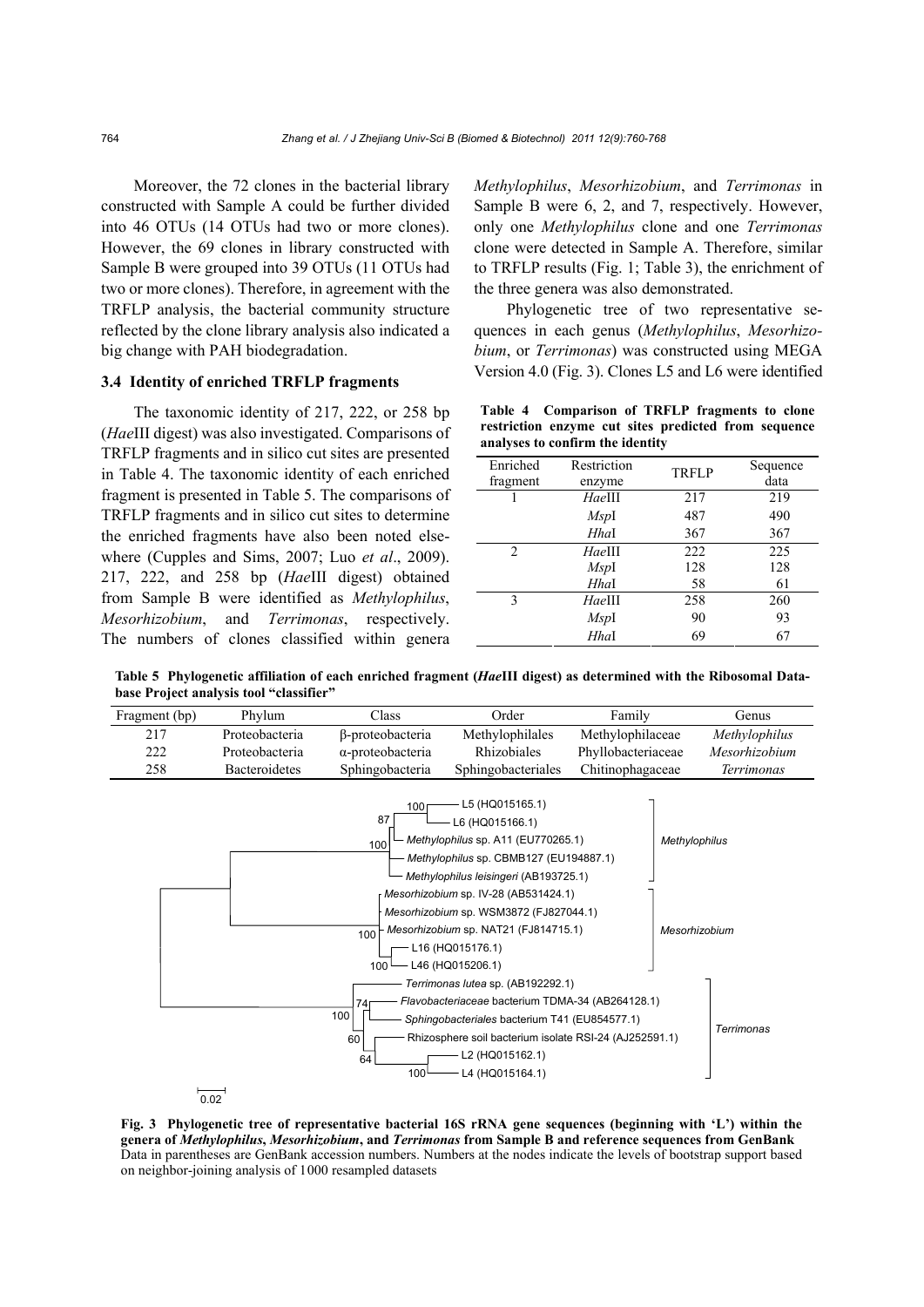Moreover, the 72 clones in the bacterial library constructed with Sample A could be further divided into 46 OTUs (14 OTUs had two or more clones). However, the 69 clones in library constructed with Sample B were grouped into 39 OTUs (11 OTUs had two or more clones). Therefore, in agreement with the TRFLP analysis, the bacterial community structure reflected by the clone library analysis also indicated a big change with PAH biodegradation.

## **3.4 Identity of enriched TRFLP fragments**

The taxonomic identity of 217, 222, or 258 bp (*Hae*III digest) was also investigated. Comparisons of TRFLP fragments and in silico cut sites are presented in Table 4. The taxonomic identity of each enriched fragment is presented in Table 5. The comparisons of TRFLP fragments and in silico cut sites to determine the enriched fragments have also been noted elsewhere (Cupples and Sims, 2007; Luo *et al*., 2009). 217, 222, and 258 bp (*Hae*III digest) obtained from Sample B were identified as *Methylophilus*, *Mesorhizobium*, and *Terrimonas*, respectively. The numbers of clones classified within genera

*Methylophilus*, *Mesorhizobium*, and *Terrimonas* in Sample B were 6, 2, and 7, respectively. However, only one *Methylophilus* clone and one *Terrimonas* clone were detected in Sample A. Therefore, similar to TRFLP results (Fig. 1; Table 3), the enrichment of the three genera was also demonstrated.

Phylogenetic tree of two representative sequences in each genus (*Methylophilus*, *Mesorhizobium*, or *Terrimonas*) was constructed using MEGA Version 4.0 (Fig. 3). Clones L5 and L6 were identified

**Table 4 Comparison of TRFLP fragments to clone restriction enzyme cut sites predicted from sequence analyses to confirm the identity** 

| Enriched<br>fragment | Restriction<br>enzyme | <b>TRFLP</b> | Sequence<br>data |  |  |
|----------------------|-----------------------|--------------|------------------|--|--|
|                      | HaeIII                | 217          | 219              |  |  |
|                      | MspI                  | 487          | 490              |  |  |
|                      | <b>Hhal</b>           | 367          | 367              |  |  |
| $\mathcal{D}$        | HaeIII                | 222          | 225              |  |  |
|                      | MspI                  | 128          | 128              |  |  |
|                      | <b>Hhal</b>           | 58           | 61               |  |  |
| $\mathbf{3}$         | HaeIII                | 258          | 260              |  |  |
|                      | MspI                  | 90           | 93               |  |  |
|                      | Hhal                  | 69           | 67               |  |  |

**Table 5 Phylogenetic affiliation of each enriched fragment (***Hae***III digest) as determined with the Ribosomal Database Project analysis tool "classifier"** 

| Fragment (bp) | Phylum         | Class                                                          | Order                                                                                                                                                                                                                                                                                                                                                                                                                                                                                                                                                                   | Family             |                                | Genus             |
|---------------|----------------|----------------------------------------------------------------|-------------------------------------------------------------------------------------------------------------------------------------------------------------------------------------------------------------------------------------------------------------------------------------------------------------------------------------------------------------------------------------------------------------------------------------------------------------------------------------------------------------------------------------------------------------------------|--------------------|--------------------------------|-------------------|
| 217           | Proteobacteria | β-proteobacteria                                               | Methylophilales                                                                                                                                                                                                                                                                                                                                                                                                                                                                                                                                                         | Methylophilaceae   |                                | Methylophilus     |
| 222           | Proteobacteria | $\alpha$ -proteobacteria                                       | Rhizobiales                                                                                                                                                                                                                                                                                                                                                                                                                                                                                                                                                             | Phyllobacteriaceae |                                | Mesorhizobium     |
| 258           | Bacteroidetes  | Sphingobacteria                                                | Sphingobacteriales                                                                                                                                                                                                                                                                                                                                                                                                                                                                                                                                                      | Chitinophagaceae   |                                | Terrimonas        |
|               |                | 100<br>87<br>100<br>100<br>100<br>74<br>100<br>60<br>64<br>100 | L5 (HQ015165.1)<br>L6 (HQ015166.1)<br>Methylophilus sp. A11 (EU770265.1)<br>Methylophilus sp. CBMB127 (EU194887.1)<br>Methylophilus leisingeri (AB193725.1)<br>Mesorhizobium sp. IV-28 (AB531424.1)<br>Mesorhizobium sp. WSM3872 (FJ827044.1)<br>Mesorhizobium sp. NAT21 (FJ814715.1)<br>L16 (HQ015176.1)<br>L46 (HQ015206.1)<br>Terrimonas lutea sp. (AB192292.1)<br>Flavobacteriaceae bacterium TDMA-34 (AB264128.1)<br>Sphingobacteriales bacterium T41 (EU854577.1)<br>Rhizosphere soil bacterium isolate RSI-24 (AJ252591.1)<br>L2 (HQ015162.1)<br>L4 (HQ015164.1) |                    | Methylophilus<br>Mesorhizobium | <b>Terrimonas</b> |
| በ በ2          |                |                                                                |                                                                                                                                                                                                                                                                                                                                                                                                                                                                                                                                                                         |                    |                                |                   |

**Fig. 3 Phylogenetic tree of representative bacterial 16S rRNA gene sequences (beginning with 'L') within the genera of** *Methylophilus***,** *Mesorhizobium***, and** *Terrimonas* **from Sample B and reference sequences from GenBank**  Data in parentheses are GenBank accession numbers. Numbers at the nodes indicate the levels of bootstrap support based on neighbor-joining analysis of 1000 resampled datasets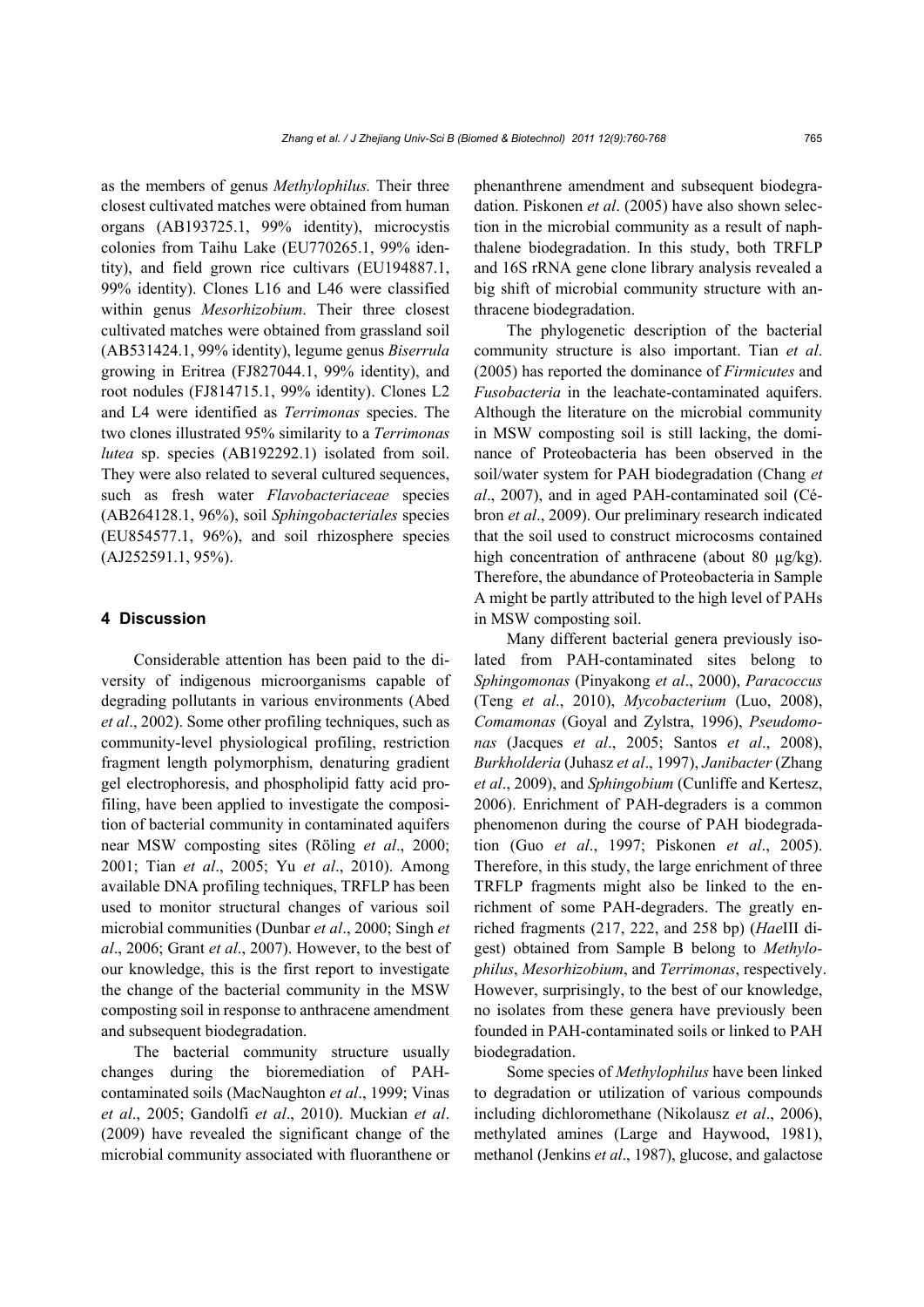as the members of genus *Methylophilus.* Their three closest cultivated matches were obtained from human organs (AB193725.1, 99% identity), microcystis colonies from Taihu Lake (EU770265.1, 99% identity), and field grown rice cultivars (EU194887.1, 99% identity). Clones L16 and L46 were classified within genus *Mesorhizobium*. Their three closest cultivated matches were obtained from grassland soil (AB531424.1, 99% identity), legume genus *Biserrula* growing in Eritrea (FJ827044.1, 99% identity), and root nodules (FJ814715.1, 99% identity). Clones L2 and L4 were identified as *Terrimonas* species. The two clones illustrated 95% similarity to a *Terrimonas lutea* sp. species (AB192292.1) isolated from soil. They were also related to several cultured sequences, such as fresh water *Flavobacteriaceae* species (AB264128.1, 96%), soil *Sphingobacteriales* species (EU854577.1, 96%), and soil rhizosphere species (AJ252591.1, 95%).

## **4 Discussion**

Considerable attention has been paid to the diversity of indigenous microorganisms capable of degrading pollutants in various environments (Abed *et al*., 2002). Some other profiling techniques, such as community-level physiological profiling, restriction fragment length polymorphism, denaturing gradient gel electrophoresis, and phospholipid fatty acid profiling, have been applied to investigate the composition of bacterial community in contaminated aquifers near MSW composting sites (Röling *et al*., 2000; 2001; Tian *et al*., 2005; Yu *et al*., 2010). Among available DNA profiling techniques, TRFLP has been used to monitor structural changes of various soil microbial communities (Dunbar *et al*., 2000; Singh *et al*., 2006; Grant *et al*., 2007). However, to the best of our knowledge, this is the first report to investigate the change of the bacterial community in the MSW composting soil in response to anthracene amendment and subsequent biodegradation.

The bacterial community structure usually changes during the bioremediation of PAHcontaminated soils (MacNaughton *et al*., 1999; Vinas *et al*., 2005; Gandolfi *et al*., 2010). Muckian *et al*. (2009) have revealed the significant change of the microbial community associated with fluoranthene or

phenanthrene amendment and subsequent biodegradation. Piskonen *et al*. (2005) have also shown selection in the microbial community as a result of naphthalene biodegradation. In this study, both TRFLP and 16S rRNA gene clone library analysis revealed a big shift of microbial community structure with anthracene biodegradation.

The phylogenetic description of the bacterial community structure is also important. Tian *et al*. (2005) has reported the dominance of *Firmicutes* and *Fusobacteria* in the leachate-contaminated aquifers. Although the literature on the microbial community in MSW composting soil is still lacking, the dominance of Proteobacteria has been observed in the soil/water system for PAH biodegradation (Chang *et al*., 2007), and in aged PAH-contaminated soil (Cébron *et al*., 2009). Our preliminary research indicated that the soil used to construct microcosms contained high concentration of anthracene (about 80  $\mu$ g/kg). Therefore, the abundance of Proteobacteria in Sample A might be partly attributed to the high level of PAHs in MSW composting soil.

Many different bacterial genera previously isolated from PAH-contaminated sites belong to *Sphingomonas* (Pinyakong *et al*., 2000), *Paracoccus* (Teng *et al*., 2010), *Mycobacterium* (Luo, 2008), *Comamonas* (Goyal and Zylstra, 1996), *Pseudomonas* (Jacques *et al*., 2005; Santos *et al*., 2008), *Burkholderia* (Juhasz *et al*., 1997), *Janibacter* (Zhang *et al*., 2009), and *Sphingobium* (Cunliffe and Kertesz, 2006). Enrichment of PAH-degraders is a common phenomenon during the course of PAH biodegradation (Guo *et al*., 1997; Piskonen *et al*., 2005). Therefore, in this study, the large enrichment of three TRFLP fragments might also be linked to the enrichment of some PAH-degraders. The greatly enriched fragments (217, 222, and 258 bp) (*Hae*III digest) obtained from Sample B belong to *Methylophilus*, *Mesorhizobium*, and *Terrimonas*, respectively. However, surprisingly, to the best of our knowledge, no isolates from these genera have previously been founded in PAH-contaminated soils or linked to PAH biodegradation.

Some species of *Methylophilus* have been linked to degradation or utilization of various compounds including dichloromethane (Nikolausz *et al*., 2006), methylated amines (Large and Haywood, 1981), methanol (Jenkins *et al*., 1987), glucose, and galactose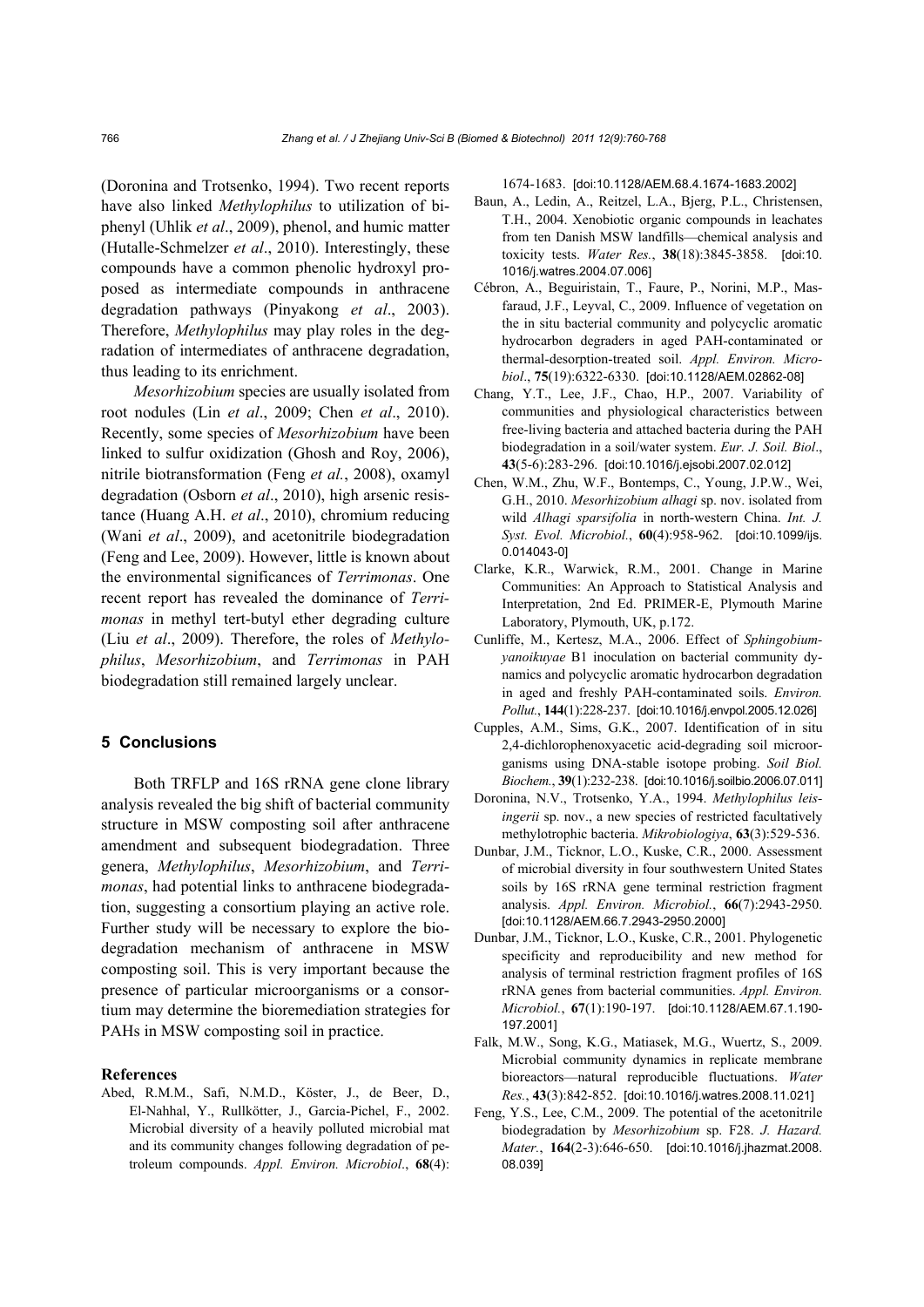(Doronina and Trotsenko, 1994). Two recent reports have also linked *Methylophilus* to utilization of biphenyl (Uhlik *et al*., 2009), phenol, and humic matter (Hutalle-Schmelzer *et al*., 2010). Interestingly, these compounds have a common phenolic hydroxyl proposed as intermediate compounds in anthracene degradation pathways (Pinyakong *et al*., 2003). Therefore, *Methylophilus* may play roles in the degradation of intermediates of anthracene degradation, thus leading to its enrichment.

*Mesorhizobium* species are usually isolated from root nodules (Lin *et al*., 2009; Chen *et al*., 2010). Recently, some species of *Mesorhizobium* have been linked to sulfur oxidization (Ghosh and Roy, 2006), nitrile biotransformation (Feng *et al.*, 2008), oxamyl degradation (Osborn *et al*., 2010), high arsenic resistance (Huang A.H. *et al*., 2010), chromium reducing (Wani *et al*., 2009), and acetonitrile biodegradation (Feng and Lee, 2009). However, little is known about the environmental significances of *Terrimonas*. One recent report has revealed the dominance of *Terrimonas* in methyl tert-butyl ether degrading culture (Liu *et al*., 2009). Therefore, the roles of *Methylophilus*, *Mesorhizobium*, and *Terrimonas* in PAH biodegradation still remained largely unclear.

## **5 Conclusions**

Both TRFLP and 16S rRNA gene clone library analysis revealed the big shift of bacterial community structure in MSW composting soil after anthracene amendment and subsequent biodegradation. Three genera, *Methylophilus*, *Mesorhizobium*, and *Terrimonas*, had potential links to anthracene biodegradation, suggesting a consortium playing an active role. Further study will be necessary to explore the biodegradation mechanism of anthracene in MSW composting soil. This is very important because the presence of particular microorganisms or a consortium may determine the bioremediation strategies for PAHs in MSW composting soil in practice.

#### **References**

Abed, R.M.M., Safi, N.M.D., Köster, J., de Beer, D., El-Nahhal, Y., Rullkötter, J., Garcia-Pichel, F., 2002. Microbial diversity of a heavily polluted microbial mat and its community changes following degradation of petroleum compounds. *Appl. Environ. Microbiol*., **68**(4): 1674-1683. [doi:10.1128/AEM.68.4.1674-1683.2002]

- Baun, A., Ledin, A., Reitzel, L.A., Bjerg, P.L., Christensen, T.H., 2004. Xenobiotic organic compounds in leachates from ten Danish MSW landfills—chemical analysis and toxicity tests. *Water Res.*, **38**(18):3845-3858. [doi:10. 1016/j.watres.2004.07.006]
- Cébron, A., Beguiristain, T., Faure, P., Norini, M.P., Masfaraud, J.F., Leyval, C., 2009. Influence of vegetation on the in situ bacterial community and polycyclic aromatic hydrocarbon degraders in aged PAH-contaminated or thermal-desorption-treated soil. *Appl. Environ. Microbiol*., **75**(19):6322-6330. [doi:10.1128/AEM.02862-08]
- Chang, Y.T., Lee, J.F., Chao, H.P., 2007. Variability of communities and physiological characteristics between free-living bacteria and attached bacteria during the PAH biodegradation in a soil/water system. *Eur. J. Soil. Biol*., **43**(5-6):283-296. [doi:10.1016/j.ejsobi.2007.02.012]
- Chen, W.M., Zhu, W.F., Bontemps, C., Young, J.P.W., Wei, G.H., 2010. *Mesorhizobium alhagi* sp. nov. isolated from wild *Alhagi sparsifolia* in north-western China. *Int. J. Syst. Evol. Microbiol.*, **60**(4):958-962. [doi:10.1099/ijs. 0.014043-0]
- Clarke, K.R., Warwick, R.M., 2001. Change in Marine Communities: An Approach to Statistical Analysis and Interpretation, 2nd Ed. PRIMER-E, Plymouth Marine Laboratory, Plymouth, UK, p.172.
- Cunliffe, M., Kertesz, M.A., 2006. Effect of *Sphingobiumyanoikuyae* B1 inoculation on bacterial community dynamics and polycyclic aromatic hydrocarbon degradation in aged and freshly PAH-contaminated soils. *Environ. Pollut.*, **144**(1):228-237. [doi:10.1016/j.envpol.2005.12.026]
- Cupples, A.M., Sims, G.K., 2007. Identification of in situ 2,4-dichlorophenoxyacetic acid-degrading soil microorganisms using DNA-stable isotope probing. *Soil Biol. Biochem.*, **39**(1):232-238. [doi:10.1016/j.soilbio.2006.07.011]
- Doronina, N.V., Trotsenko, Y.A., 1994. *Methylophilus leisingerii* sp. nov., a new species of restricted facultatively methylotrophic bacteria. *Mikrobiologiya*, **63**(3):529-536.
- Dunbar, J.M., Ticknor, L.O., Kuske, C.R., 2000. Assessment of microbial diversity in four southwestern United States soils by 16S rRNA gene terminal restriction fragment analysis. *Appl. Environ. Microbiol.*, **66**(7):2943-2950. [doi:10.1128/AEM.66.7.2943-2950.2000]
- Dunbar, J.M., Ticknor, L.O., Kuske, C.R., 2001. Phylogenetic specificity and reproducibility and new method for analysis of terminal restriction fragment profiles of 16S rRNA genes from bacterial communities. *Appl. Environ. Microbiol.*, **67**(1):190-197. [doi:10.1128/AEM.67.1.190- 197.2001]
- Falk, M.W., Song, K.G., Matiasek, M.G., Wuertz, S., 2009. Microbial community dynamics in replicate membrane bioreactors—natural reproducible fluctuations. *Water Res.*, **43**(3):842-852. [doi:10.1016/j.watres.2008.11.021]
- Feng, Y.S., Lee, C.M., 2009. The potential of the acetonitrile biodegradation by *Mesorhizobium* sp. F28. *J. Hazard. Mater.*, **164**(2-3):646-650. [doi:10.1016/j.jhazmat.2008. 08.039]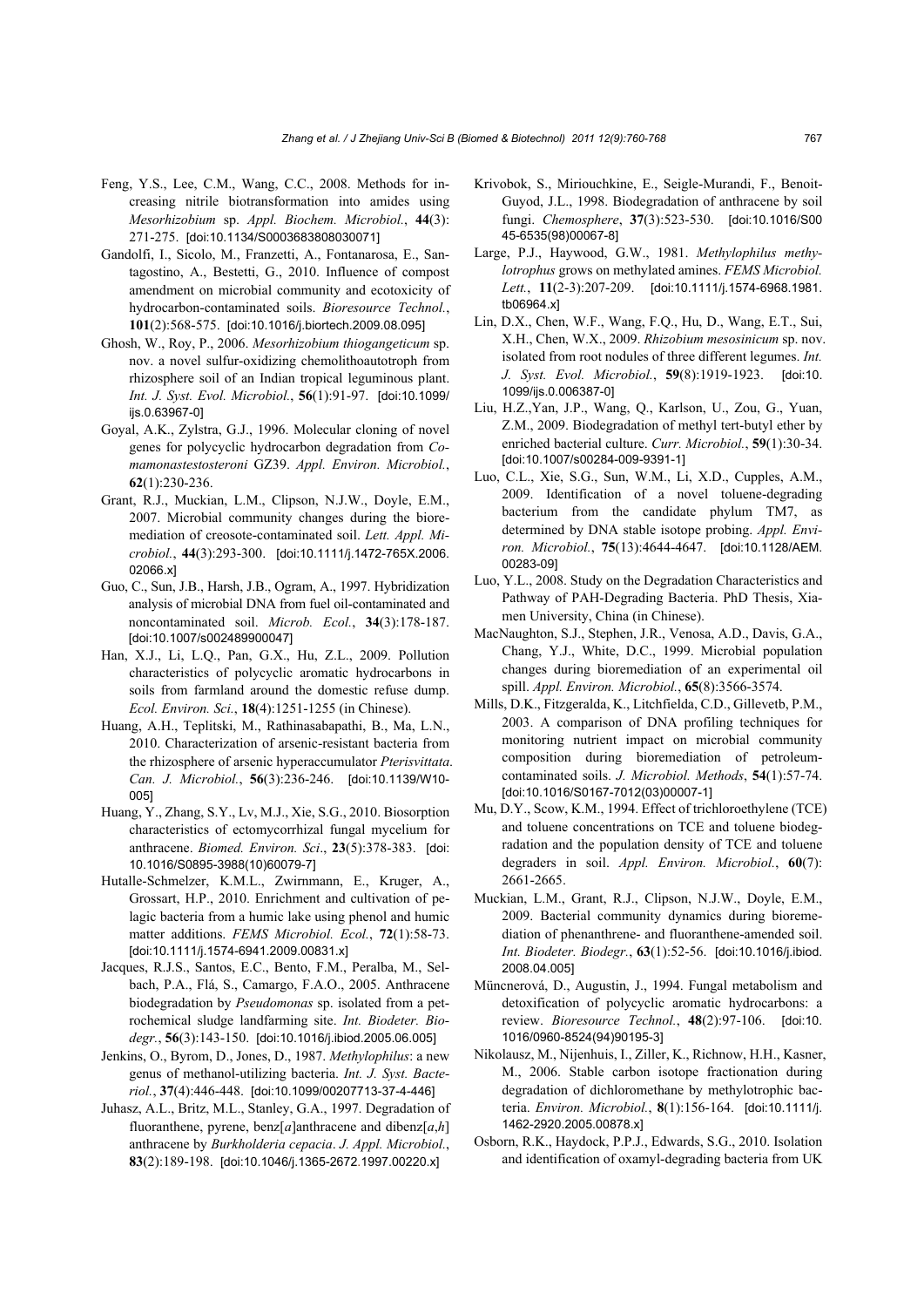- Feng, Y.S., Lee, C.M., Wang, C.C., 2008. Methods for increasing nitrile biotransformation into amides using *Mesorhizobium* sp. *Appl. Biochem. Microbiol.*, **44**(3): 271-275. [doi:10.1134/S0003683808030071]
- Gandolfi, I., Sicolo, M., Franzetti, A., Fontanarosa, E., Santagostino, A., Bestetti, G., 2010. Influence of compost amendment on microbial community and ecotoxicity of hydrocarbon-contaminated soils. *Bioresource Technol.*, **101**(2):568-575. [doi:10.1016/j.biortech.2009.08.095]
- Ghosh, W., Roy, P., 2006. *Mesorhizobium thiogangeticum* sp. nov. a novel sulfur-oxidizing chemolithoautotroph from rhizosphere soil of an Indian tropical leguminous plant. *Int. J. Syst. Evol. Microbiol.*, **56**(1):91-97. [doi:10.1099/ ijs.0.63967-01
- Goyal, A.K., Zylstra, G.J., 1996. Molecular cloning of novel genes for polycyclic hydrocarbon degradation from *Comamonastestosteroni* GZ39. *Appl. Environ. Microbiol.*, **62**(1):230-236.
- Grant, R.J., Muckian, L.M., Clipson, N.J.W., Doyle, E.M., 2007. Microbial community changes during the bioremediation of creosote-contaminated soil. *Lett. Appl. Microbiol.*, **44**(3):293-300. [doi:10.1111/j.1472-765X.2006. 02066.x]
- Guo, C., Sun, J.B., Harsh, J.B., Ogram, A., 1997. Hybridization analysis of microbial DNA from fuel oil-contaminated and noncontaminated soil. *Microb. Ecol.*, **34**(3):178-187. [doi:10.1007/s002489900047]
- Han, X.J., Li, L.Q., Pan, G.X., Hu, Z.L., 2009. Pollution characteristics of polycyclic aromatic hydrocarbons in soils from farmland around the domestic refuse dump. *Ecol. Environ. Sci.*, **18**(4):1251-1255 (in Chinese).
- Huang, A.H., Teplitski, M., Rathinasabapathi, B., Ma, L.N., 2010. Characterization of arsenic-resistant bacteria from the rhizosphere of arsenic hyperaccumulator *Pterisvittata*. *Can. J. Microbiol.*, **56**(3):236-246. [doi:10.1139/W10- 005]
- Huang, Y., Zhang, S.Y., Lv, M.J., Xie, S.G., 2010. Biosorption characteristics of ectomycorrhizal fungal mycelium for anthracene. *Biomed. Environ. Sci*., **23**(5):378-383. [doi: 10.1016/S0895-3988(10)60079-7]
- Hutalle-Schmelzer, K.M.L., Zwirnmann, E., Kruger, A., Grossart, H.P., 2010. Enrichment and cultivation of pelagic bacteria from a humic lake using phenol and humic matter additions. *FEMS Microbiol. Ecol.*, **72**(1):58-73. [doi:10.1111/j.1574-6941.2009.00831.x]
- Jacques, R.J.S., Santos, E.C., Bento, F.M., Peralba, M., Selbach, P.A., Flá, S., Camargo, F.A.O., 2005. Anthracene biodegradation by *Pseudomonas* sp. isolated from a petrochemical sludge landfarming site. *Int. Biodeter. Biodegr.*, **56**(3):143-150. [doi:10.1016/j.ibiod.2005.06.005]
- Jenkins, O., Byrom, D., Jones, D., 1987. *Methylophilus*: a new genus of methanol-utilizing bacteria. *Int. J. Syst. Bacteriol.*, **37**(4):446-448. [doi:10.1099/00207713-37-4-446]
- Juhasz, A.L., Britz, M.L., Stanley, G.A., 1997. Degradation of fluoranthene, pyrene, benz[*a*]anthracene and dibenz[*a*,*h*] anthracene by *Burkholderia cepacia*. *J. Appl. Microbiol.*, **83**(2):189-198. [doi:10.1046/j.1365-2672.1997.00220.x]
- Krivobok, S., Miriouchkine, E., Seigle-Murandi, F., Benoit-Guyod, J.L., 1998. Biodegradation of anthracene by soil fungi. *Chemosphere*, **37**(3):523-530. [doi:10.1016/S00 45-6535(98)00067-8]
- Large, P.J., Haywood, G.W., 1981. *Methylophilus methylotrophus* grows on methylated amines. *FEMS Microbiol. Lett.*, **11**(2-3):207-209. [doi:10.1111/j.1574-6968.1981. tb06964.x]
- Lin, D.X., Chen, W.F., Wang, F.Q., Hu, D., Wang, E.T., Sui, X.H., Chen, W.X., 2009. *Rhizobium mesosinicum* sp. nov. isolated from root nodules of three different legumes. *Int. J. Syst. Evol. Microbiol.*, **59**(8):1919-1923. [doi:10. 1099/ijs.0.006387-0]
- Liu, H.Z.,Yan, J.P., Wang, Q., Karlson, U., Zou, G., Yuan, Z.M., 2009. Biodegradation of methyl tert-butyl ether by enriched bacterial culture. *Curr. Microbiol.*, **59**(1):30-34. [doi:10.1007/s00284-009-9391-1]
- Luo, C.L., Xie, S.G., Sun, W.M., Li, X.D., Cupples, A.M., 2009. Identification of a novel toluene-degrading bacterium from the candidate phylum TM7, as determined by DNA stable isotope probing. *Appl. Environ. Microbiol.*, **75**(13):4644-4647. [doi:10.1128/AEM. 00283-09]
- Luo, Y.L., 2008. Study on the Degradation Characteristics and Pathway of PAH-Degrading Bacteria. PhD Thesis, Xiamen University, China (in Chinese).
- MacNaughton, S.J., Stephen, J.R., Venosa, A.D., Davis, G.A., Chang, Y.J., White, D.C., 1999. Microbial population changes during bioremediation of an experimental oil spill. *Appl. Environ. Microbiol.*, **65**(8):3566-3574.
- Mills, D.K., Fitzgeralda, K., Litchfielda, C.D., Gillevetb, P.M., 2003. A comparison of DNA profiling techniques for monitoring nutrient impact on microbial community composition during bioremediation of petroleumcontaminated soils. *J. Microbiol. Methods*, **54**(1):57-74. [doi:10.1016/S0167-7012(03)00007-1]
- Mu, D.Y., Scow, K.M., 1994. Effect of trichloroethylene (TCE) and toluene concentrations on TCE and toluene biodegradation and the population density of TCE and toluene degraders in soil. *Appl. Environ. Microbiol.*, **60**(7): 2661-2665.
- Muckian, L.M., Grant, R.J., Clipson, N.J.W., Doyle, E.M., 2009. Bacterial community dynamics during bioremediation of phenanthrene- and fluoranthene-amended soil. *Int. Biodeter. Biodegr.*, **63**(1):52-56. [doi:10.1016/j.ibiod. 2008.04.005]
- Müncnerová, D., Augustin, J., 1994. Fungal metabolism and detoxification of polycyclic aromatic hydrocarbons: a review. *Bioresource Technol.*, **48**(2):97-106. [doi:10. 1016/0960-8524(94)90195-3]
- Nikolausz, M., Nijenhuis, I., Ziller, K., Richnow, H.H., Kasner, M., 2006. Stable carbon isotope fractionation during degradation of dichloromethane by methylotrophic bacteria. *Environ. Microbiol.*, **8**(1):156-164. [doi:10.1111/j. 1462-2920.2005.00878.x]
- Osborn, R.K., Haydock, P.P.J., Edwards, S.G., 2010. Isolation and identification of oxamyl-degrading bacteria from UK